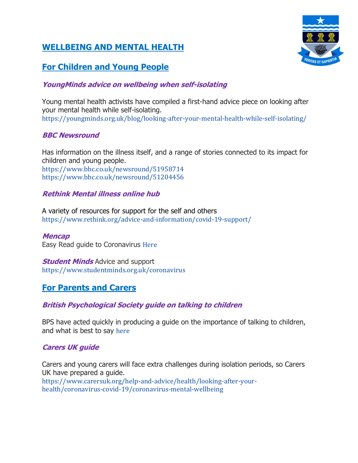# **WELLBEING AND MENTAL HEALTH**

# **For Children and Young People**

# **YoungMinds advice on wellbeing when self-isolating**

Young mental health activists have compiled a first-hand advice piece on looking after your mental health while self-isolating. <https://youngminds.org.uk/blog/looking-after-your-mental-health-while-self-isolating/>

## **BBC Newsround**

Has information on the illness itself, and a range of stories connected to its impact for children and young people. <https://www.bbc.co.uk/newsround/51958714> <https://www.bbc.co.uk/newsround/51204456>

## **Rethink Mental illness online hub**

A variety of resources for support for the self and others <https://www.rethink.org/advice-and-information/covid-19-support/>

**Mencap** Easy Read guide to Coronavirus [Here](https://www.mencap.org.uk/sites/default/files/2020-03/Information%20about%20Coronavirus%20ER%20SS2.pdf?dm_i=43MR,SZ24,5QMZYG,3HKE3,1)

**Student Minds** Advice and support <https://www.studentminds.org.uk/coronavirus>

# **For Parents and Carers**

## **British Psychological Society guide on talking to children**

BPS have acted quickly in producing a guide on the importance of talking to children, and what is best to say [here](https://www.bps.org.uk/news-and-policy/bps-highlights-importance-talking-children-about-coronavirus)

## **Carers UK guide**

Carers and young carers will face extra challenges during isolation periods, so Carers UK have prepared a guide. [https://www.carersuk.org/help-and-advice/health/looking-after-your-](https://www.carersuk.org/help-and-advice/health/looking-after-your-health/coronavirus-covid-19/coronavirus-mental-wellbeing)

[health/coronavirus-covid-19/coronavirus-mental-wellbeing](https://www.carersuk.org/help-and-advice/health/looking-after-your-health/coronavirus-covid-19/coronavirus-mental-wellbeing)